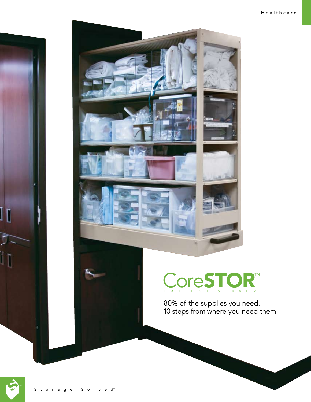



80% of the supplies you need. 10 steps from where you need them.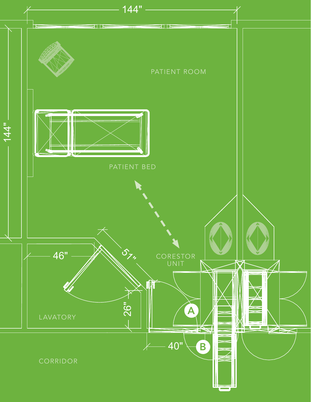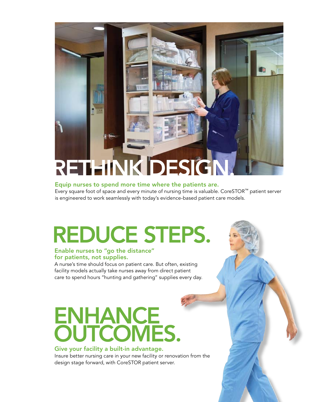# Rethink Design.

### Equip nurses to spend more time where the patients are.

Every square foot of space and every minute of nursing time is valuable. CoreSTOR™ patient server is engineered to work seamlessly with today's evidence-based patient care models.

# Reduce steps.

### Enable nurses to "go the distance" for patients, not supplies.

A nurse's time should focus on patient care. But often, existing facility models actually take nurses away from direct patient care to spend hours "hunting and gathering" supplies every day.

## ENHANCE **OUTCOMES.**

### Give your facility a built-in advantage.

Insure better nursing care in your new facility or renovation from the design stage forward, with CoreSTOR patient server.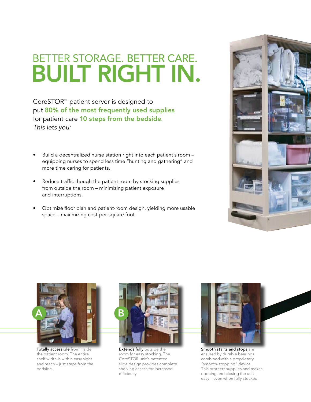### better storage. BETTER CARE. **BUILT RIGHT IN.**

CoreSTOR™ patient server is designed to put 80% of the most frequently used supplies for patient care 10 steps from the bedside. *This lets you:*

- Build a decentralized nurse station right into each patient's room equipping nurses to spend less time "hunting and gathering" and more time caring for patients. •
- Reduce traffic though the patient room by stocking supplies from outside the room – minimizing patient exposure and interruptions. •
- Optimize floor plan and patient-room design, yielding more usable space – maximizing cost-per-square foot. •





Totally accessible from inside the patient room. The entire shelf width is within easy sight and reach – just steps from the bedside.



Extends fully outside the room for easy stocking. The CoreSTOR unit's patented slide design provides complete shelving access for increased efficiency.



Smooth starts and stops are ensured by durable bearings combined with a proprietary "smooth-stopping" device. This protects supplies and makes opening and closing the unit easy – even when fully stocked.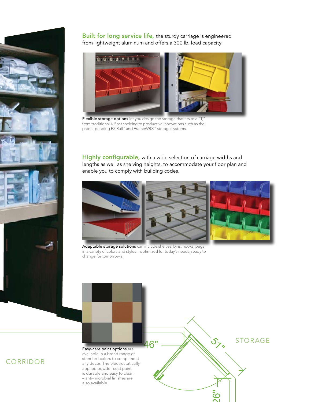

Built for long service life, the sturdy carriage is engineered from lightweight aluminum and offers a 300 lb. load capacity.



Flexible storage options let you design the storage that fits to a "T," from traditional 4-Post shelving to productive innovations such as the patent pending EZ Rail™ and FrameWRX™ storage systems.

Highly configurable, with a wide selection of carriage widths and lengths as well as shelving heights, to accommodate your floor plan and enable you to comply with building codes.



Adaptable storage solutions can include shelves, bins, hooks, pegs in a variety of colors and styles – optimized for today's needs, ready to change for tomorrow's.



### corridor